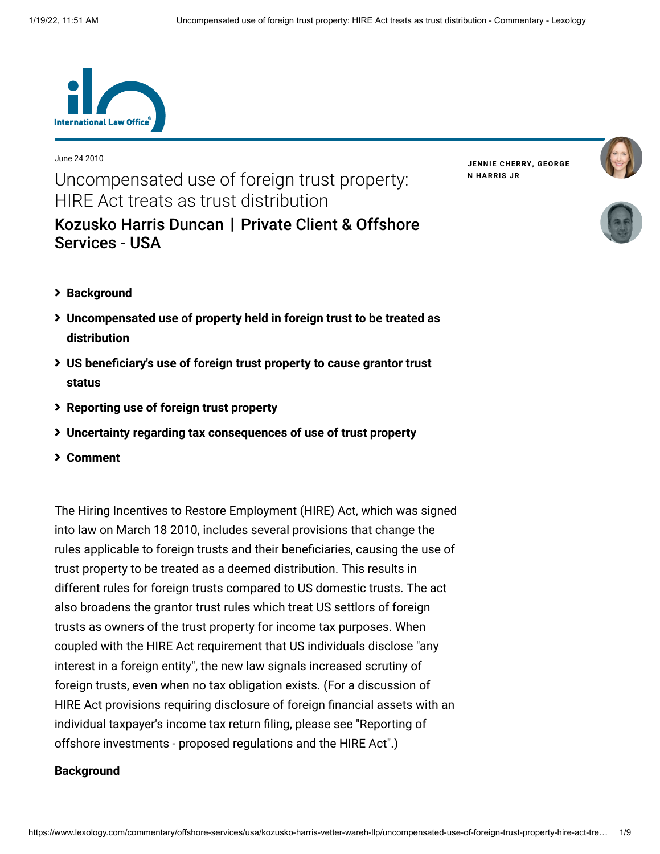

June 24 2010

Uncompensated use of foreign trust property: HIRE Act treats as trust distribution [Kozusko Harris Duncan](https://www.lexology.com/contributors/23364) | Private Client & Offshore **JENNIE [CHERRY](https://www.lexology.com/23364/author/Jennie_Cherry/)[,](https://www.lexology.com/23364/author/George_N_Harris_Jr/) GEORGE N HARRIS JR**





**[Background](#page-0-0)**

Services - USA

- **[Uncompensated use of property held in foreign trust to be treated as](#page-2-0) distribution**
- **[US beneficiary's use of foreign trust property to cause grantor trust](#page-3-0) status**
- **[Reporting use of foreign trust property](#page-3-0)**
- **[Uncertainty regarding tax consequences of use of trust property](#page-4-0)**
- **[Comment](#page-7-0)**

The Hiring Incentives to Restore Employment (HIRE) Act, which was signed into law on March 18 2010, includes several provisions that change the rules applicable to foreign trusts and their beneficiaries, causing the use of trust property to be treated as a deemed distribution. This results in different rules for foreign trusts compared to US domestic trusts. The act also broadens the grantor trust rules which treat US settlors of foreign trusts as owners of the trust property for income tax purposes. When coupled with the HIRE Act requirement that US individuals disclose "any interest in a foreign entity", the new law signals increased scrutiny of foreign trusts, even when no tax obligation exists. (For a discussion of HIRE Act provisions requiring disclosure of foreign financial assets with an [individual taxpayer's income tax return filing, please see "Reporting of](http://www.internationallawoffice.com/Newsletters/detail.aspx?g=8ef13c29-ba12-4824-85ab-bde320468b1d) offshore investments - proposed regulations and the HIRE Act".)

#### <span id="page-0-0"></span>**Background**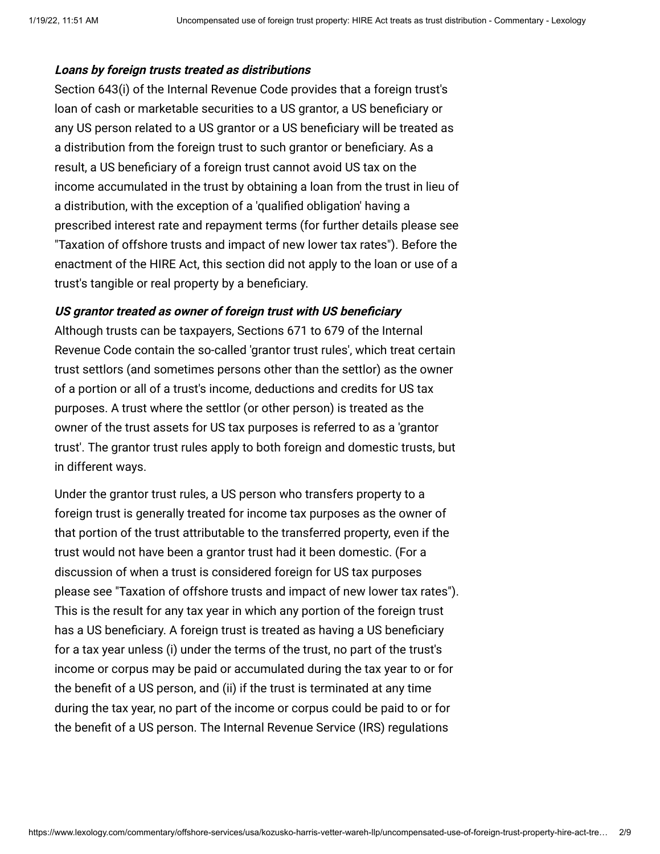#### **Loans by foreign trusts treated as distributions**

Section 643(i) of the Internal Revenue Code provides that a foreign trust's loan of cash or marketable securities to a US grantor, a US beneficiary or any US person related to a US grantor or a US beneficiary will be treated as a distribution from the foreign trust to such grantor or beneficiary. As a result, a US beneficiary of a foreign trust cannot avoid US tax on the income accumulated in the trust by obtaining a loan from the trust in lieu of a distribution, with the exception of a 'qualified obligation' having a prescribed interest rate and repayment terms (for further details please see ["Taxation of offshore trusts and impact of new lower tax rates"](http://www.internationallawoffice.com/Newsletters/detail.aspx?g=fa09696c-86d8-4011-bfb3-ba66bf73c584)). Before the enactment of the HIRE Act, this section did not apply to the loan or use of a trust's tangible or real property by a beneficiary.

# **US grantor treated as owner of foreign trust with US beneficiary**

Although trusts can be taxpayers, Sections 671 to 679 of the Internal Revenue Code contain the so-called 'grantor trust rules', which treat certain trust settlors (and sometimes persons other than the settlor) as the owner of a portion or all of a trust's income, deductions and credits for US tax purposes. A trust where the settlor (or other person) is treated as the owner of the trust assets for US tax purposes is referred to as a 'grantor trust'. The grantor trust rules apply to both foreign and domestic trusts, but in different ways.

Under the grantor trust rules, a US person who transfers property to a foreign trust is generally treated for income tax purposes as the owner of that portion of the trust attributable to the transferred property, even if the trust would not have been a grantor trust had it been domestic. (For a discussion of when a trust is considered foreign for US tax purposes please see ["Taxation of offshore trusts and impact of new lower tax rates"](http://www.internationallawoffice.com/Newsletters/detail.aspx?g=fa09696c-86d8-4011-bfb3-ba66bf73c584)). This is the result for any tax year in which any portion of the foreign trust has a US beneficiary. A foreign trust is treated as having a US beneficiary for a tax year unless (i) under the terms of the trust, no part of the trust's income or corpus may be paid or accumulated during the tax year to or for the benefit of a US person, and (ii) if the trust is terminated at any time during the tax year, no part of the income or corpus could be paid to or for the benefit of a US person. The Internal Revenue Service (IRS) regulations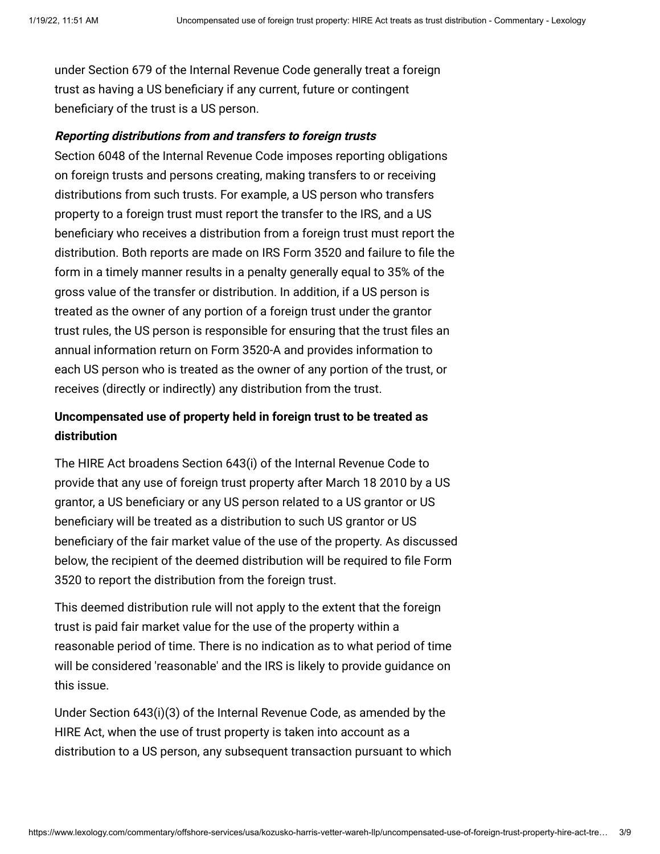under Section 679 of the Internal Revenue Code generally treat a foreign trust as having a US beneficiary if any current, future or contingent beneficiary of the trust is a US person.

## **Reporting distributions from and transfers to foreign trusts**

Section 6048 of the Internal Revenue Code imposes reporting obligations on foreign trusts and persons creating, making transfers to or receiving distributions from such trusts. For example, a US person who transfers property to a foreign trust must report the transfer to the IRS, and a US beneficiary who receives a distribution from a foreign trust must report the distribution. Both reports are made on IRS Form 3520 and failure to file the form in a timely manner results in a penalty generally equal to 35% of the gross value of the transfer or distribution. In addition, if a US person is treated as the owner of any portion of a foreign trust under the grantor trust rules, the US person is responsible for ensuring that the trust files an annual information return on Form 3520-A and provides information to each US person who is treated as the owner of any portion of the trust, or receives (directly or indirectly) any distribution from the trust.

# <span id="page-2-0"></span>**Uncompensated use of property held in foreign trust to be treated as distribution**

The HIRE Act broadens Section 643(i) of the Internal Revenue Code to provide that any use of foreign trust property after March 18 2010 by a US grantor, a US beneficiary or any US person related to a US grantor or US beneficiary will be treated as a distribution to such US grantor or US beneficiary of the fair market value of the use of the property. As discussed below, the recipient of the deemed distribution will be required to file Form 3520 to report the distribution from the foreign trust.

This deemed distribution rule will not apply to the extent that the foreign trust is paid fair market value for the use of the property within a reasonable period of time. There is no indication as to what period of time will be considered 'reasonable' and the IRS is likely to provide guidance on this issue.

Under Section 643(i)(3) of the Internal Revenue Code, as amended by the HIRE Act, when the use of trust property is taken into account as a distribution to a US person, any subsequent transaction pursuant to which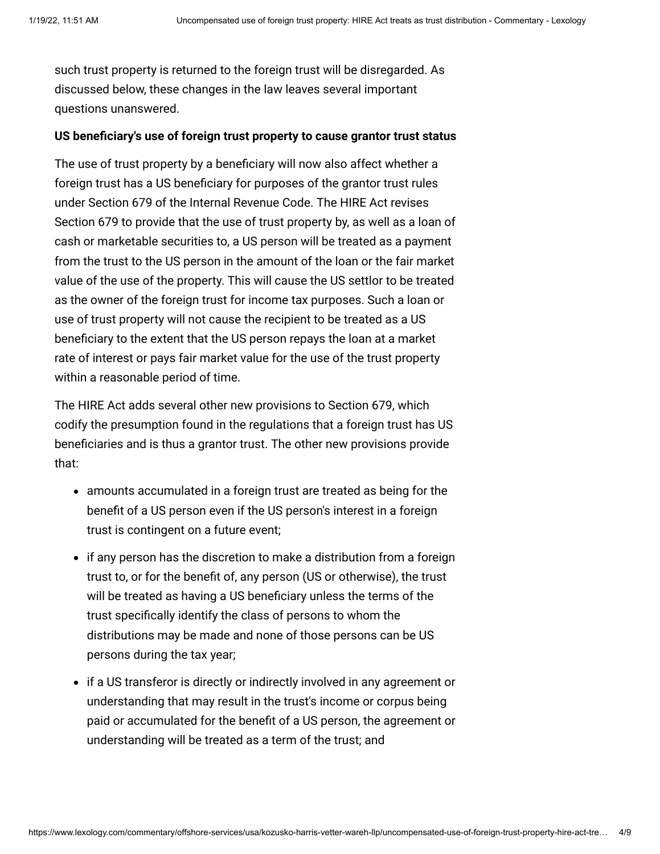such trust property is returned to the foreign trust will be disregarded. As discussed below, these changes in the law leaves several important questions unanswered.

## <span id="page-3-0"></span>**US beneficiary's use of foreign trust property to cause grantor trust status**

The use of trust property by a beneficiary will now also affect whether a foreign trust has a US beneficiary for purposes of the grantor trust rules under Section 679 of the Internal Revenue Code. The HIRE Act revises Section 679 to provide that the use of trust property by, as well as a loan of cash or marketable securities to, a US person will be treated as a payment from the trust to the US person in the amount of the loan or the fair market value of the use of the property. This will cause the US settlor to be treated as the owner of the foreign trust for income tax purposes. Such a loan or use of trust property will not cause the recipient to be treated as a US beneficiary to the extent that the US person repays the loan at a market rate of interest or pays fair market value for the use of the trust property within a reasonable period of time.

The HIRE Act adds several other new provisions to Section 679, which codify the presumption found in the regulations that a foreign trust has US beneficiaries and is thus a grantor trust. The other new provisions provide that:

- amounts accumulated in a foreign trust are treated as being for the benefit of a US person even if the US person's interest in a foreign trust is contingent on a future event;
- if any person has the discretion to make a distribution from a foreign trust to, or for the benefit of, any person (US or otherwise), the trust will be treated as having a US beneficiary unless the terms of the trust specifically identify the class of persons to whom the distributions may be made and none of those persons can be US persons during the tax year;
- if a US transferor is directly or indirectly involved in any agreement or understanding that may result in the trust's income or corpus being paid or accumulated for the benefit of a US person, the agreement or understanding will be treated as a term of the trust; and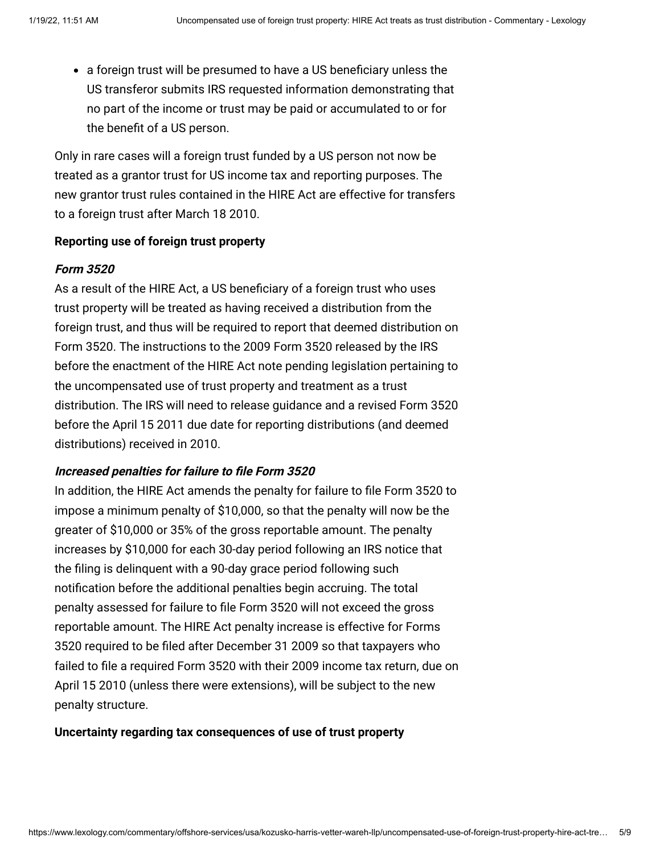a foreign trust will be presumed to have a US beneficiary unless the US transferor submits IRS requested information demonstrating that no part of the income or trust may be paid or accumulated to or for the benefit of a US person.

Only in rare cases will a foreign trust funded by a US person not now be treated as a grantor trust for US income tax and reporting purposes. The new grantor trust rules contained in the HIRE Act are effective for transfers to a foreign trust after March 18 2010.

#### **Reporting use of foreign trust property**

#### **Form 3520**

As a result of the HIRE Act, a US beneficiary of a foreign trust who uses trust property will be treated as having received a distribution from the foreign trust, and thus will be required to report that deemed distribution on Form 3520. The instructions to the 2009 Form 3520 released by the IRS before the enactment of the HIRE Act note pending legislation pertaining to the uncompensated use of trust property and treatment as a trust distribution. The IRS will need to release guidance and a revised Form 3520 before the April 15 2011 due date for reporting distributions (and deemed distributions) received in 2010.

# **Increased penalties for failure to file Form 3520**

In addition, the HIRE Act amends the penalty for failure to file Form 3520 to impose a minimum penalty of \$10,000, so that the penalty will now be the greater of \$10,000 or 35% of the gross reportable amount. The penalty increases by \$10,000 for each 30-day period following an IRS notice that the filing is delinquent with a 90-day grace period following such notification before the additional penalties begin accruing. The total penalty assessed for failure to file Form 3520 will not exceed the gross reportable amount. The HIRE Act penalty increase is effective for Forms 3520 required to be filed after December 31 2009 so that taxpayers who failed to file a required Form 3520 with their 2009 income tax return, due on April 15 2010 (unless there were extensions), will be subject to the new penalty structure.

#### <span id="page-4-0"></span>**Uncertainty regarding tax consequences of use of trust property**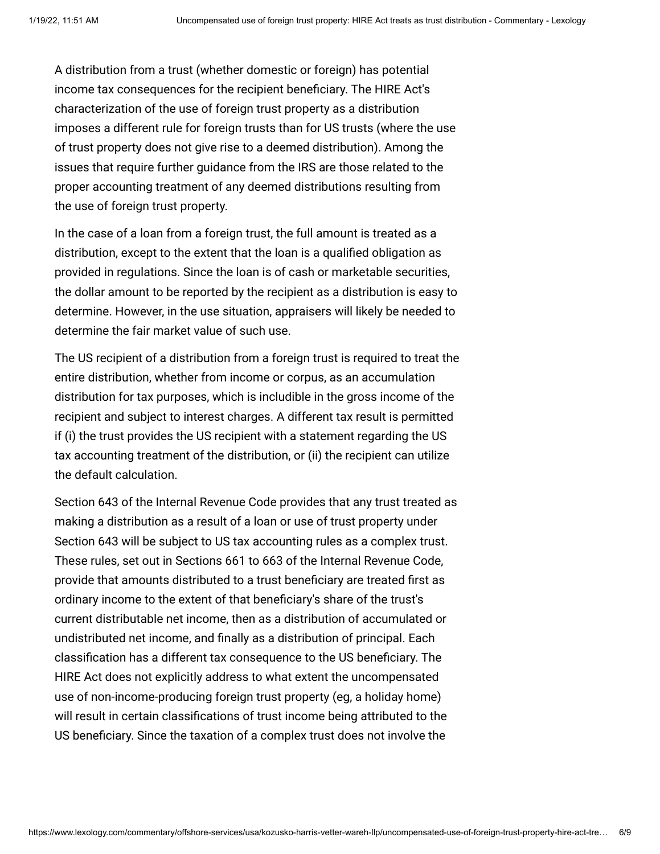A distribution from a trust (whether domestic or foreign) has potential income tax consequences for the recipient beneficiary. The HIRE Act's characterization of the use of foreign trust property as a distribution imposes a different rule for foreign trusts than for US trusts (where the use of trust property does not give rise to a deemed distribution). Among the issues that require further guidance from the IRS are those related to the proper accounting treatment of any deemed distributions resulting from the use of foreign trust property.

In the case of a loan from a foreign trust, the full amount is treated as a distribution, except to the extent that the loan is a qualified obligation as provided in regulations. Since the loan is of cash or marketable securities, the dollar amount to be reported by the recipient as a distribution is easy to determine. However, in the use situation, appraisers will likely be needed to determine the fair market value of such use.

The US recipient of a distribution from a foreign trust is required to treat the entire distribution, whether from income or corpus, as an accumulation distribution for tax purposes, which is includible in the gross income of the recipient and subject to interest charges. A different tax result is permitted if (i) the trust provides the US recipient with a statement regarding the US tax accounting treatment of the distribution, or (ii) the recipient can utilize the default calculation.

Section 643 of the Internal Revenue Code provides that any trust treated as making a distribution as a result of a loan or use of trust property under Section 643 will be subject to US tax accounting rules as a complex trust. These rules, set out in Sections 661 to 663 of the Internal Revenue Code, provide that amounts distributed to a trust beneficiary are treated first as ordinary income to the extent of that beneficiary's share of the trust's current distributable net income, then as a distribution of accumulated or undistributed net income, and finally as a distribution of principal. Each classification has a different tax consequence to the US beneficiary. The HIRE Act does not explicitly address to what extent the uncompensated use of non-income-producing foreign trust property (eg, a holiday home) will result in certain classifications of trust income being attributed to the US beneficiary. Since the taxation of a complex trust does not involve the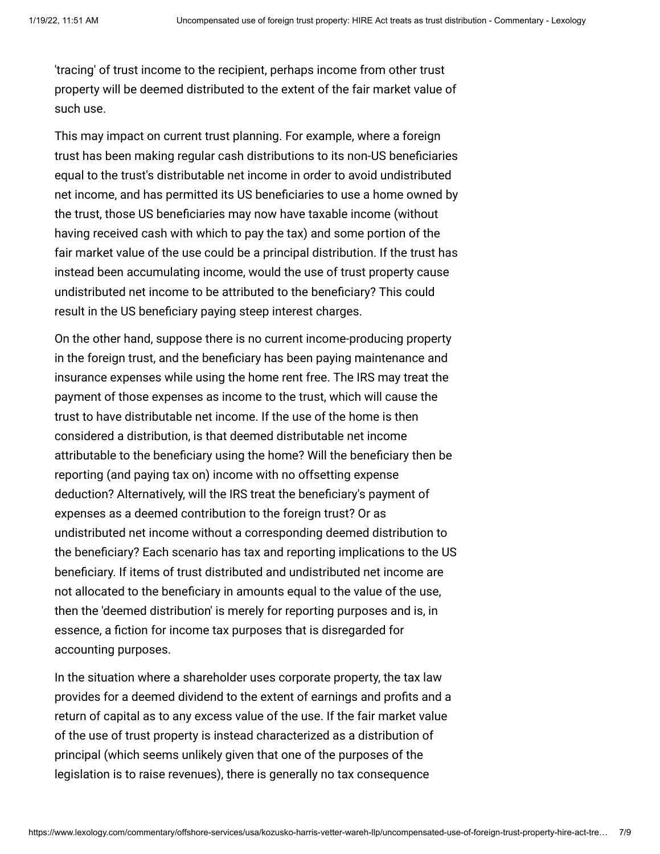'tracing' of trust income to the recipient, perhaps income from other trust property will be deemed distributed to the extent of the fair market value of such use.

This may impact on current trust planning. For example, where a foreign trust has been making regular cash distributions to its non-US beneficiaries equal to the trust's distributable net income in order to avoid undistributed net income, and has permitted its US beneficiaries to use a home owned by the trust, those US beneficiaries may now have taxable income (without having received cash with which to pay the tax) and some portion of the fair market value of the use could be a principal distribution. If the trust has instead been accumulating income, would the use of trust property cause undistributed net income to be attributed to the beneficiary? This could result in the US beneficiary paying steep interest charges.

On the other hand, suppose there is no current income-producing property in the foreign trust, and the beneficiary has been paying maintenance and insurance expenses while using the home rent free. The IRS may treat the payment of those expenses as income to the trust, which will cause the trust to have distributable net income. If the use of the home is then considered a distribution, is that deemed distributable net income attributable to the beneficiary using the home? Will the beneficiary then be reporting (and paying tax on) income with no offsetting expense deduction? Alternatively, will the IRS treat the beneficiary's payment of expenses as a deemed contribution to the foreign trust? Or as undistributed net income without a corresponding deemed distribution to the beneficiary? Each scenario has tax and reporting implications to the US beneficiary. If items of trust distributed and undistributed net income are not allocated to the beneficiary in amounts equal to the value of the use, then the 'deemed distribution' is merely for reporting purposes and is, in essence, a fiction for income tax purposes that is disregarded for accounting purposes.

In the situation where a shareholder uses corporate property, the tax law provides for a deemed dividend to the extent of earnings and profits and a return of capital as to any excess value of the use. If the fair market value of the use of trust property is instead characterized as a distribution of principal (which seems unlikely given that one of the purposes of the legislation is to raise revenues), there is generally no tax consequence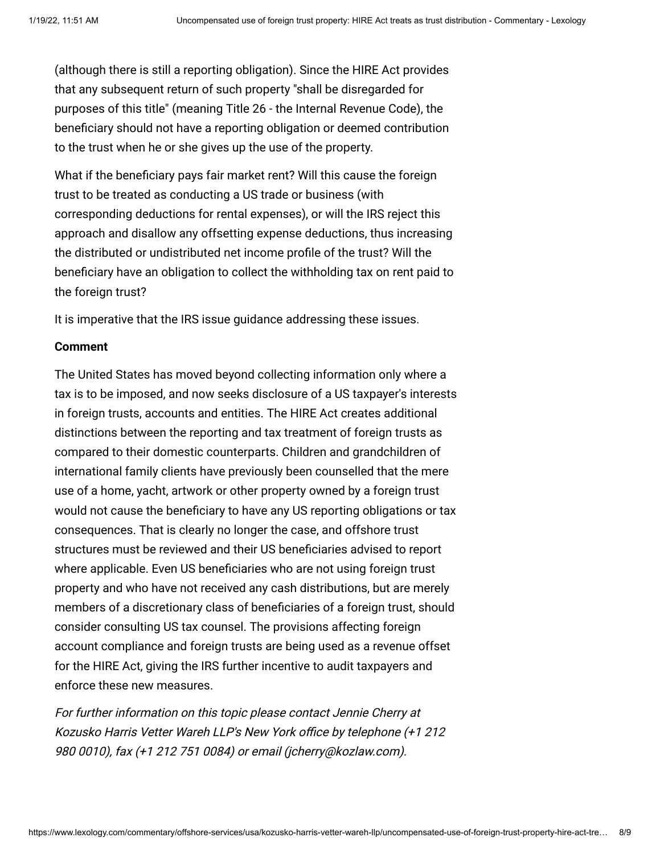(although there is still a reporting obligation). Since the HIRE Act provides that any subsequent return of such property "shall be disregarded for purposes of this title" (meaning Title 26 - the Internal Revenue Code), the beneficiary should not have a reporting obligation or deemed contribution to the trust when he or she gives up the use of the property.

What if the beneficiary pays fair market rent? Will this cause the foreign trust to be treated as conducting a US trade or business (with corresponding deductions for rental expenses), or will the IRS reject this approach and disallow any offsetting expense deductions, thus increasing the distributed or undistributed net income profile of the trust? Will the beneficiary have an obligation to collect the withholding tax on rent paid to the foreign trust?

It is imperative that the IRS issue guidance addressing these issues.

# <span id="page-7-0"></span>**Comment**

The United States has moved beyond collecting information only where a tax is to be imposed, and now seeks disclosure of a US taxpayer's interests in foreign trusts, accounts and entities. The HIRE Act creates additional distinctions between the reporting and tax treatment of foreign trusts as compared to their domestic counterparts. Children and grandchildren of international family clients have previously been counselled that the mere use of a home, yacht, artwork or other property owned by a foreign trust would not cause the beneficiary to have any US reporting obligations or tax consequences. That is clearly no longer the case, and offshore trust structures must be reviewed and their US beneficiaries advised to report where applicable. Even US beneficiaries who are not using foreign trust property and who have not received any cash distributions, but are merely members of a discretionary class of beneficiaries of a foreign trust, should consider consulting US tax counsel. The provisions affecting foreign account compliance and foreign trusts are being used as a revenue offset for the HIRE Act, giving the IRS further incentive to audit taxpayers and enforce these new measures.

For further information on this topic please contact [Jennie Cherry](http://www.internationallawoffice.com/Directory/biography.aspx?g=5f56ca95-2b5f-447f-bd27-19ae4b933664) at Kozusko Harris Vetter Wareh LLP's New York office by telephone (+1 212 980 0010), fax (+1 212 751 0084) or email [\(jcherry@kozlaw.com\)](mailto:jcherry@kozlaw.com?subject=Article%20on%20ILO).